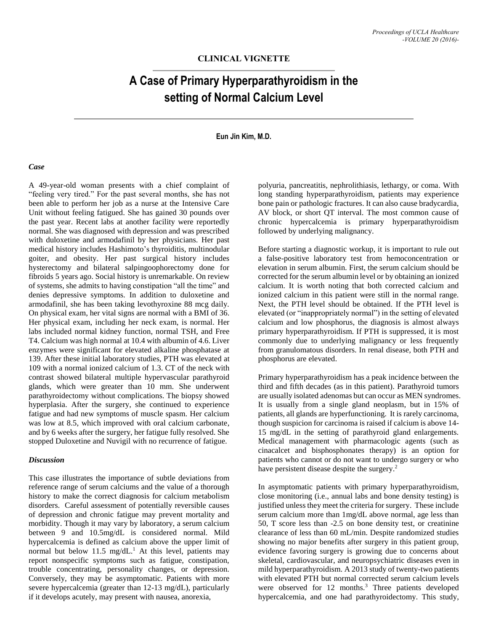# **CLINICAL VIGNETTE**

# **A Case of Primary Hyperparathyroidism in the setting of Normal Calcium Level**

## **Eun Jin Kim, M.D.**

#### *Case*

A 49-year-old woman presents with a chief complaint of "feeling very tired." For the past several months, she has not been able to perform her job as a nurse at the Intensive Care Unit without feeling fatigued. She has gained 30 pounds over the past year. Recent labs at another facility were reportedly normal. She was diagnosed with depression and was prescribed with duloxetine and armodafinil by her physicians. Her past medical history includes Hashimoto's thyroiditis, multinodular goiter, and obesity. Her past surgical history includes hysterectomy and bilateral salpingoophorectomy done for fibroids 5 years ago. Social history is unremarkable. On review of systems, she admits to having constipation "all the time" and denies depressive symptoms. In addition to duloxetine and armodafinil, she has been taking levothyroxine 88 mcg daily. On physical exam, her vital signs are normal with a BMI of 36. Her physical exam, including her neck exam, is normal. Her labs included normal kidney function, normal TSH, and Free T4. Calcium was high normal at 10.4 with albumin of 4.6. Liver enzymes were significant for elevated alkaline phosphatase at 139. After these initial laboratory studies, PTH was elevated at 109 with a normal ionized calcium of 1.3. CT of the neck with contrast showed bilateral multiple hypervascular parathyroid glands, which were greater than 10 mm. She underwent parathyroidectomy without complications. The biopsy showed hyperplasia. After the surgery, she continued to experience fatigue and had new symptoms of muscle spasm. Her calcium was low at 8.5, which improved with oral calcium carbonate, and by 6 weeks after the surgery, her fatigue fully resolved. She stopped Duloxetine and Nuvigil with no recurrence of fatigue.

## *Discussion*

This case illustrates the importance of subtle deviations from reference range of serum calciums and the value of a thorough history to make the correct diagnosis for calcium metabolism disorders. Careful assessment of potentially reversible causes of depression and chronic fatigue may prevent mortality and morbidity. Though it may vary by laboratory, a serum calcium between 9 and 10.5mg/dL is considered normal. Mild hypercalcemia is defined as calcium above the upper limit of normal but below 11.5 mg/dL.<sup>1</sup> At this level, patients may report nonspecific symptoms such as fatigue, constipation, trouble concentrating, personality changes, or depression. Conversely, they may be asymptomatic. Patients with more severe hypercalcemia (greater than 12-13 mg/dL), particularly if it develops acutely, may present with nausea, anorexia,

polyuria, pancreatitis, nephrolithiasis, lethargy, or coma. With long standing hyperparathyroidism, patients may experience bone pain or pathologic fractures. It can also cause bradycardia, AV block, or short QT interval. The most common cause of chronic hypercalcemia is primary hyperparathyroidism followed by underlying malignancy.

Before starting a diagnostic workup, it is important to rule out a false-positive laboratory test from hemoconcentration or elevation in serum albumin. First, the serum calcium should be corrected for the serum albumin level or by obtaining an ionized calcium. It is worth noting that both corrected calcium and ionized calcium in this patient were still in the normal range. Next, the PTH level should be obtained. If the PTH level is elevated (or "inappropriately normal") in the setting of elevated calcium and low phosphorus, the diagnosis is almost always primary hyperparathyroidism. If PTH is suppressed, it is most commonly due to underlying malignancy or less frequently from granulomatous disorders. In renal disease, both PTH and phosphorus are elevated.

Primary hyperparathyroidism has a peak incidence between the third and fifth decades (as in this patient). Parathyroid tumors are usually isolated adenomas but can occur as MEN syndromes. It is usually from a single gland neoplasm, but in 15% of patients, all glands are hyperfunctioning. It is rarely carcinoma, though suspicion for carcinoma is raised if calcium is above 14- 15 mg/dL in the setting of parathyroid gland enlargements. Medical management with pharmacologic agents (such as cinacalcet and bisphosphonates therapy) is an option for patients who cannot or do not want to undergo surgery or who have persistent disease despite the surgery.<sup>2</sup>

In asymptomatic patients with primary hyperparathyroidism, close monitoring (i.e., annual labs and bone density testing) is justified unless they meet the criteria for surgery. These include serum calcium more than 1mg/dL above normal, age less than 50, T score less than -2.5 on bone density test, or creatinine clearance of less than 60 mL/min. Despite randomized studies showing no major benefits after surgery in this patient group, evidence favoring surgery is growing due to concerns about skeletal, cardiovascular, and neuropsychiatric diseases even in mild hyperparathyroidism. A 2013 study of twenty-two patients with elevated PTH but normal corrected serum calcium levels were observed for 12 months.<sup>3</sup> Three patients developed hypercalcemia, and one had parathyroidectomy. This study,